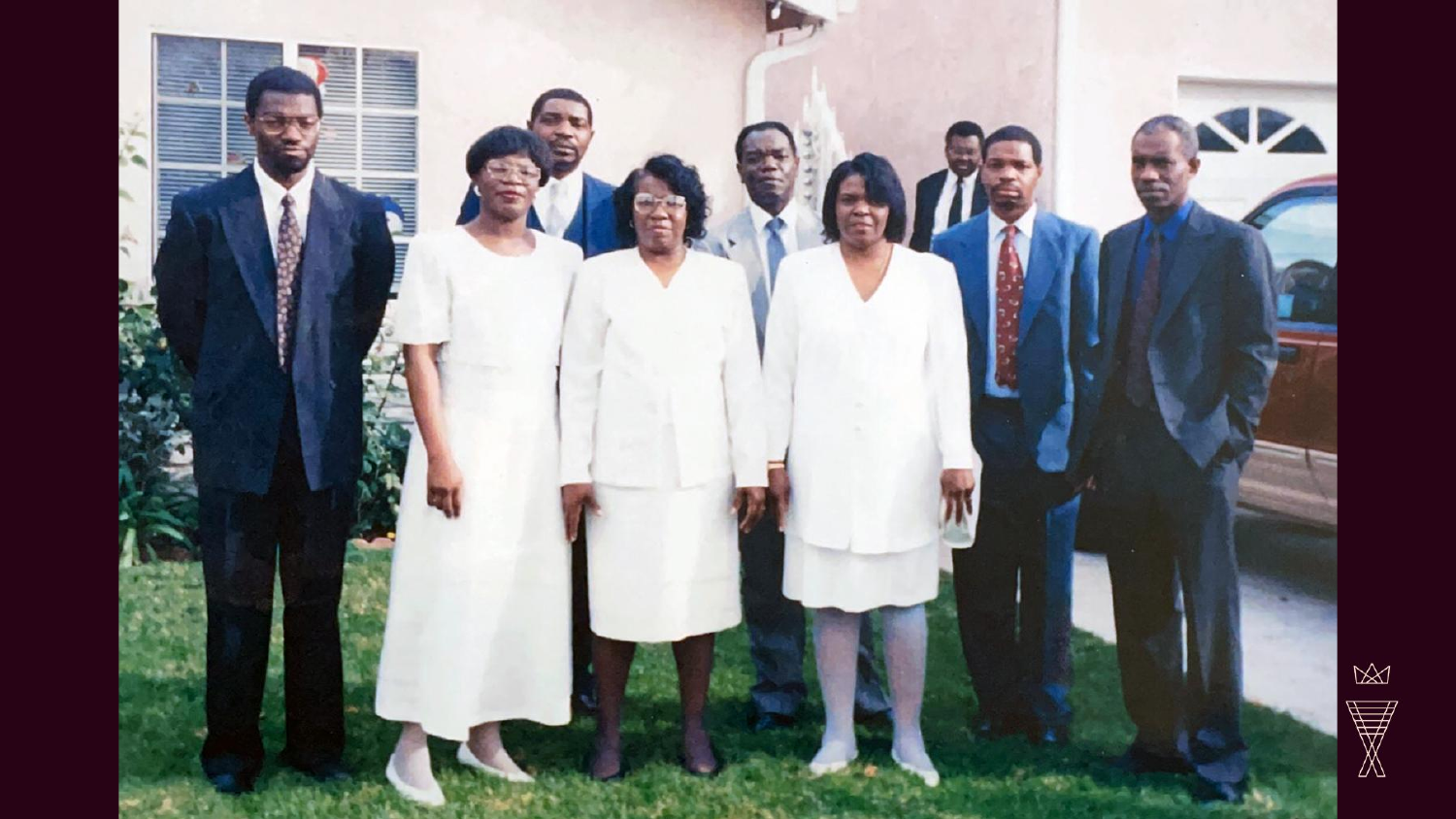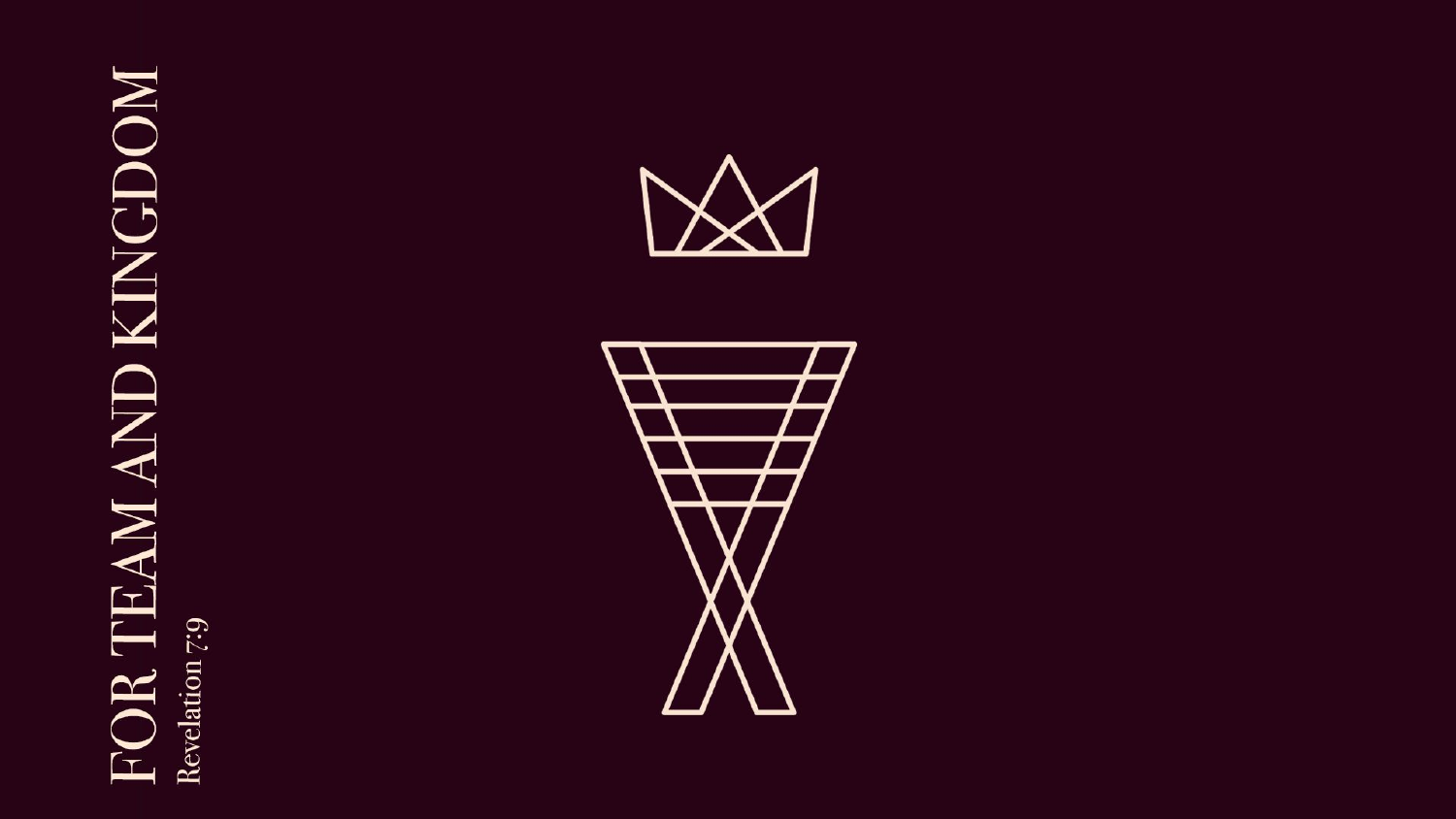# FOR TEAM AND KINGDOM Revelation<sub>7:9</sub>



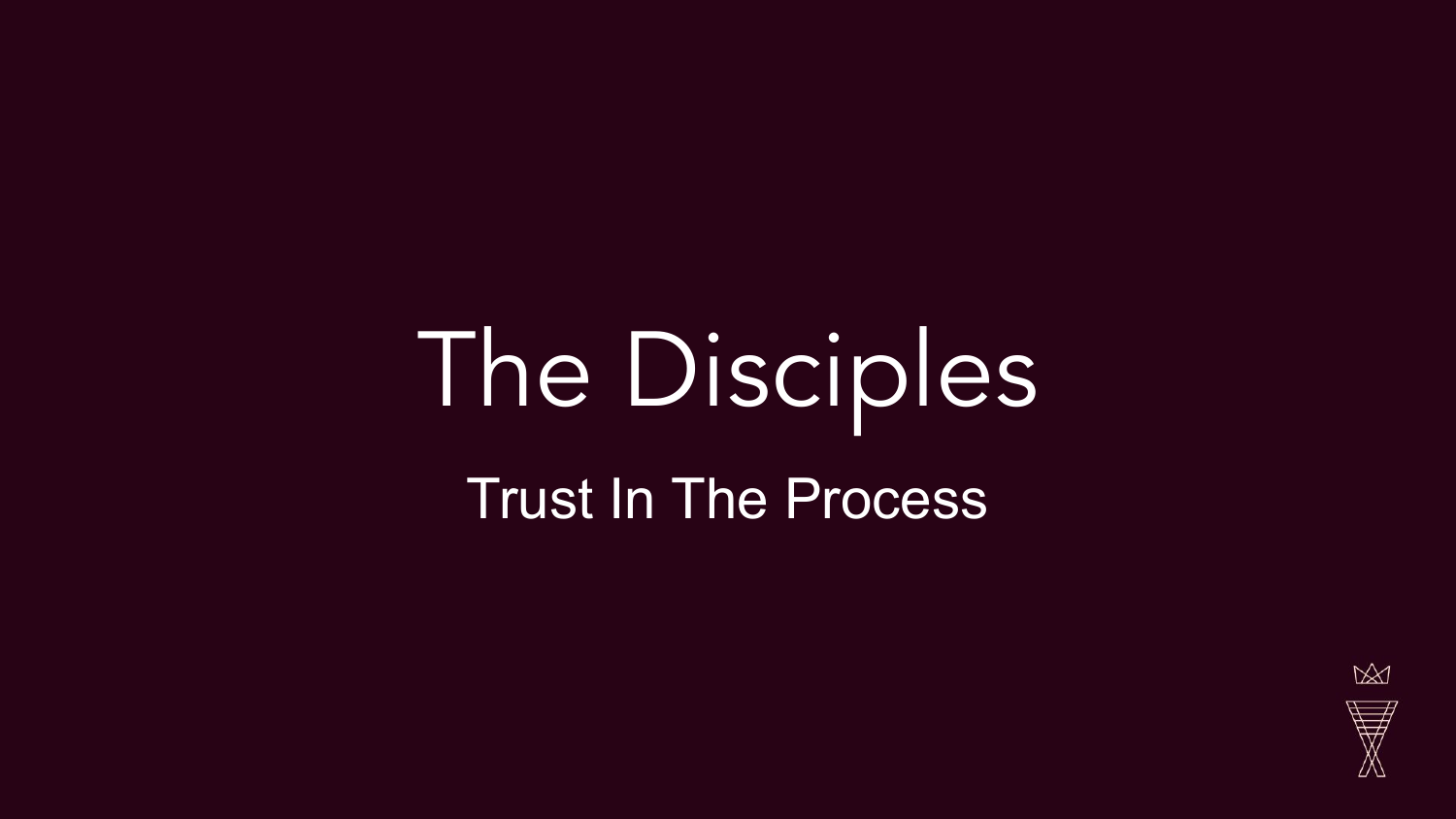## The Disciples Trust In The Process

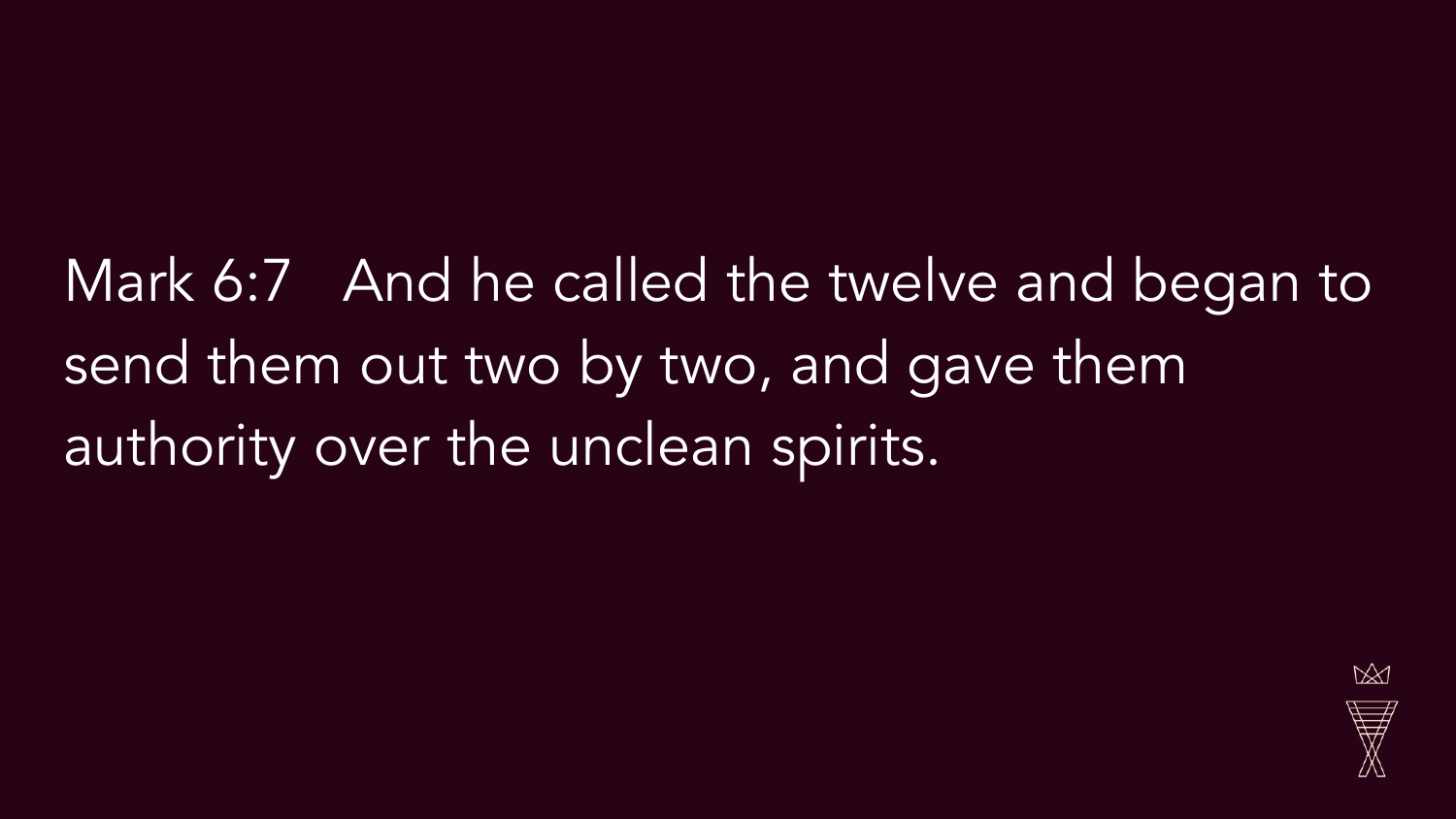Mark 6:7 And he called the twelve and began to send them out two by two, and gave them authority over the unclean spirits.

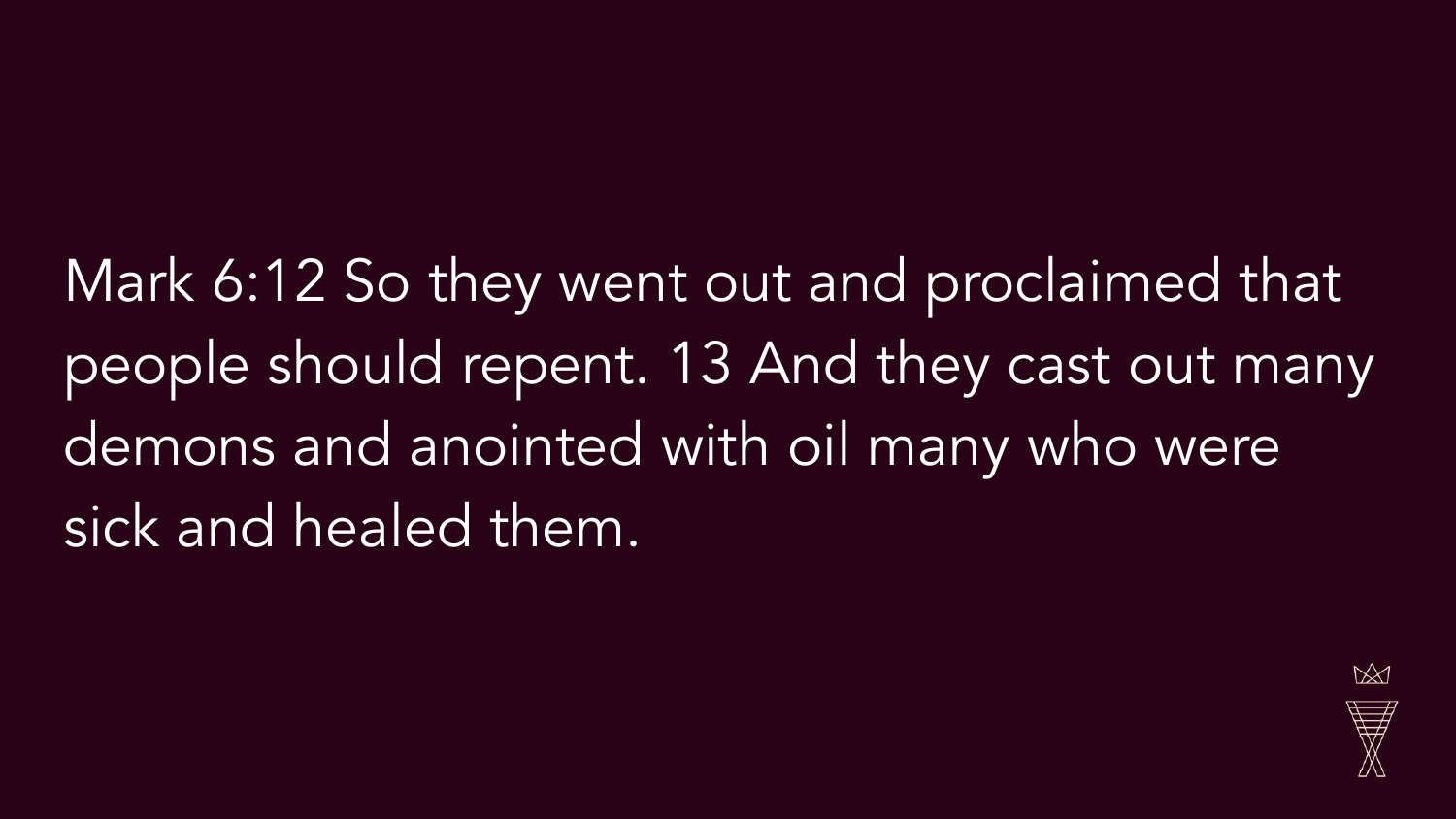Mark 6:12 So they went out and proclaimed that people should repent. 13 And they cast out many demons and anointed with oil many who were sick and healed them.

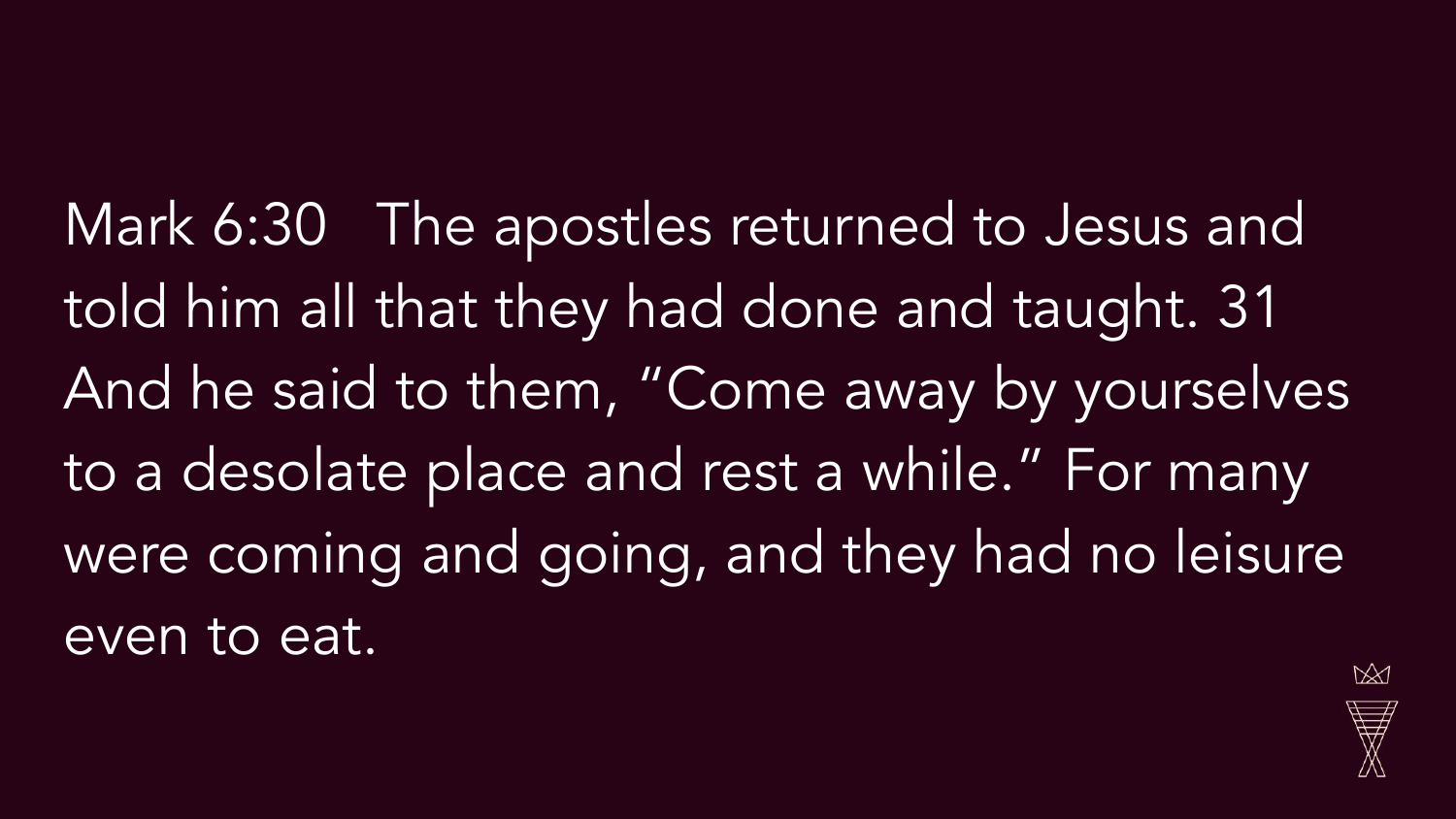Mark 6:30 The apostles returned to Jesus and told him all that they had done and taught. 31 And he said to them, "Come away by yourselves to a desolate place and rest a while." For many were coming and going, and they had no leisure even to eat.

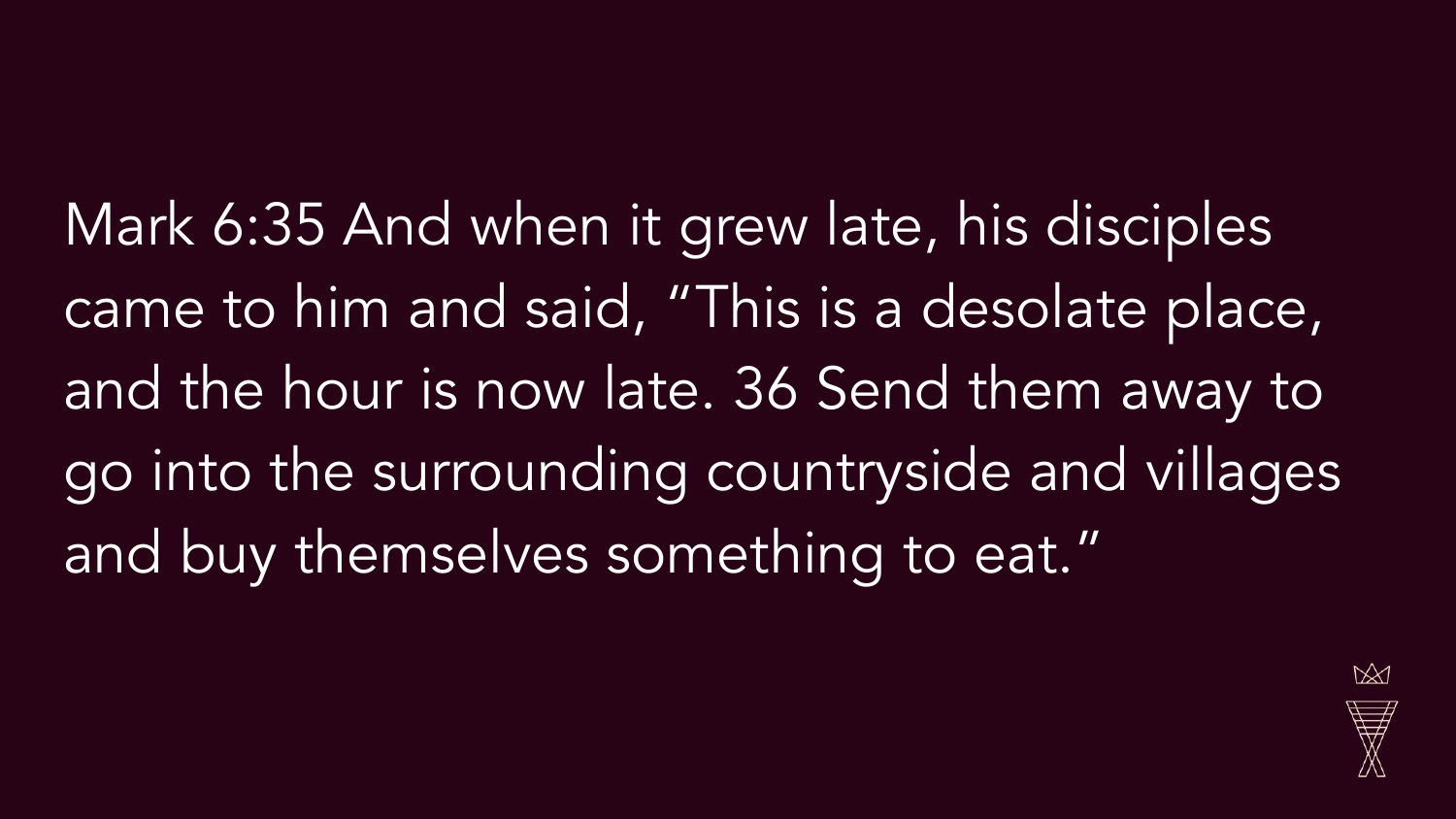Mark 6:35 And when it grew late, his disciples came to him and said, "This is a desolate place, and the hour is now late. 36 Send them away to go into the surrounding countryside and villages and buy themselves something to eat."

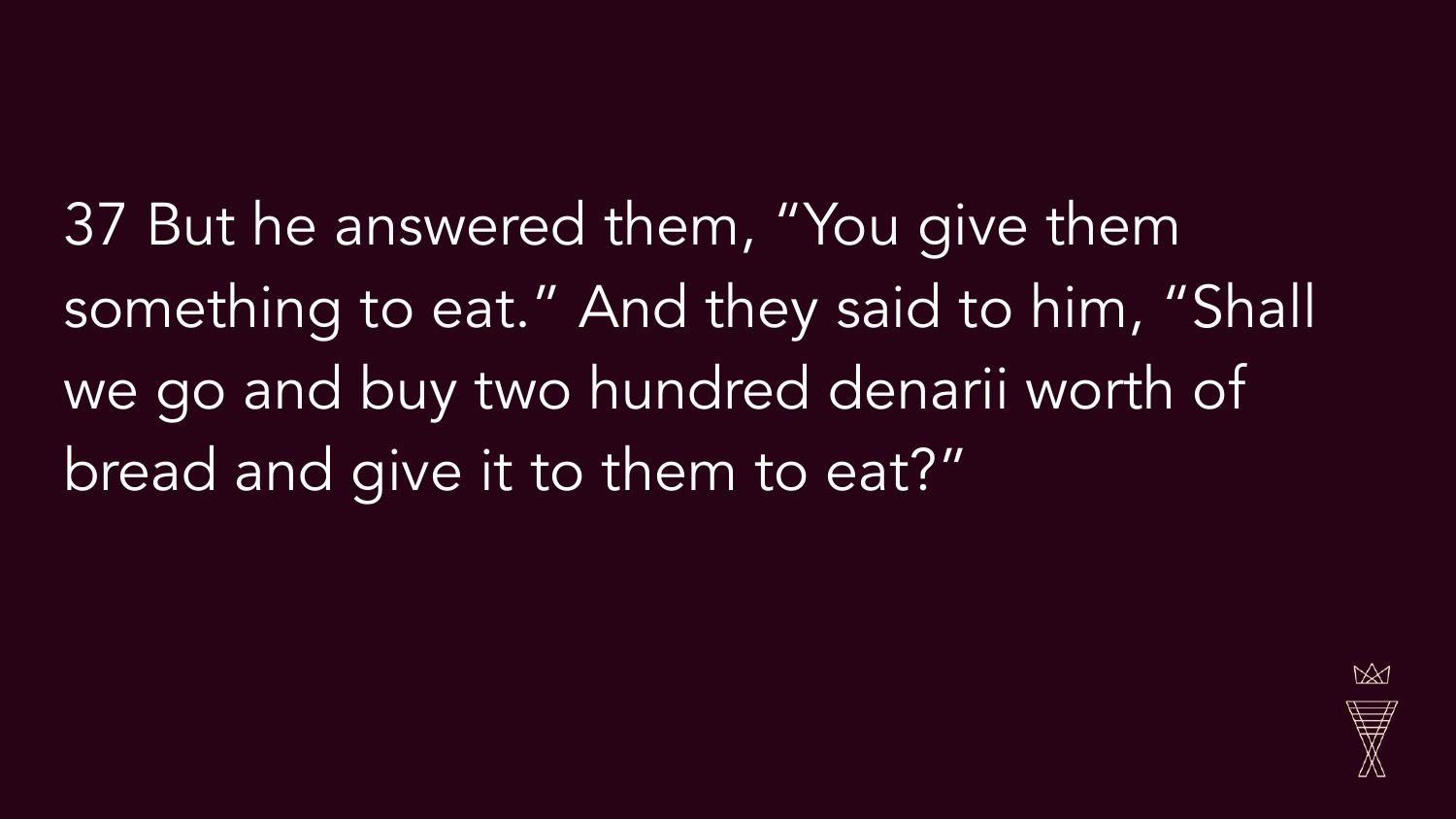37 But he answered them, "You give them something to eat." And they said to him, "Shall

we go and buy two hundred denarii worth of bread and give it to them to eat?"

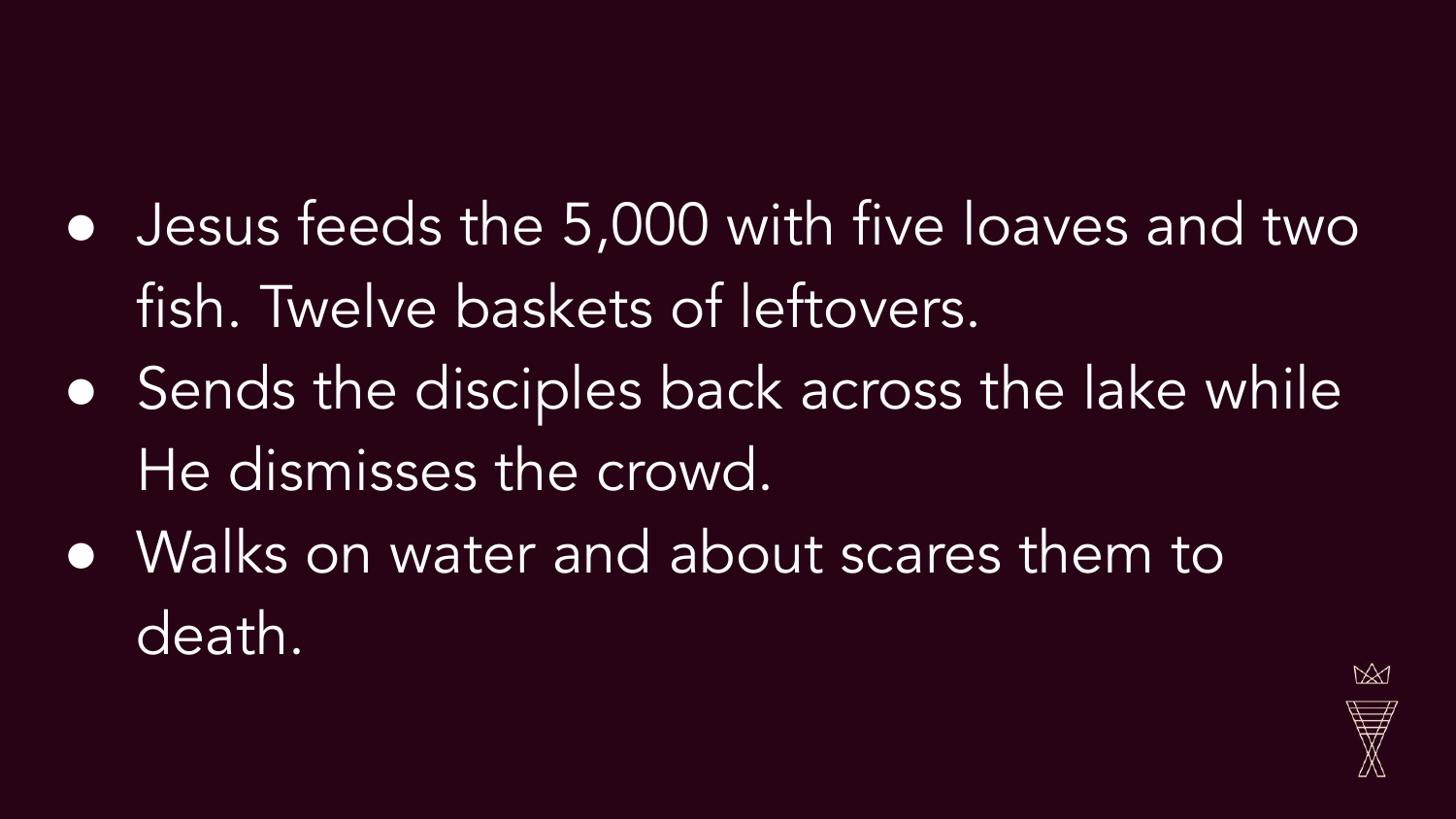- Jesus feeds the 5,000 with five loaves and two fish. Twelve baskets of leftovers.
- Sends the disciples back across the lake while He dismisses the crowd.
- Walks on water and about scares them to death.

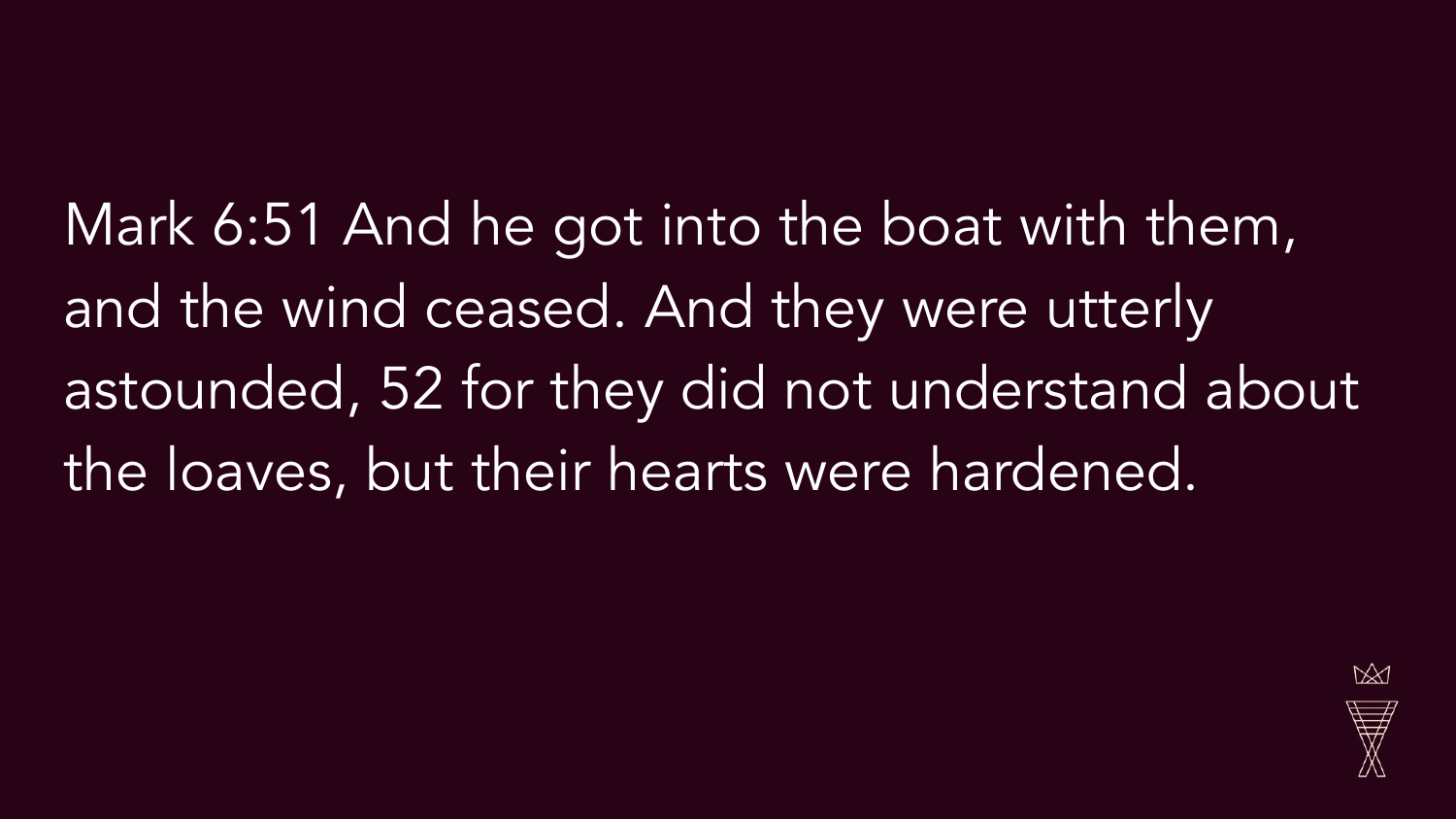Mark 6:51 And he got into the boat with them, and the wind ceased. And they were utterly astounded, 52 for they did not understand about the loaves, but their hearts were hardened.

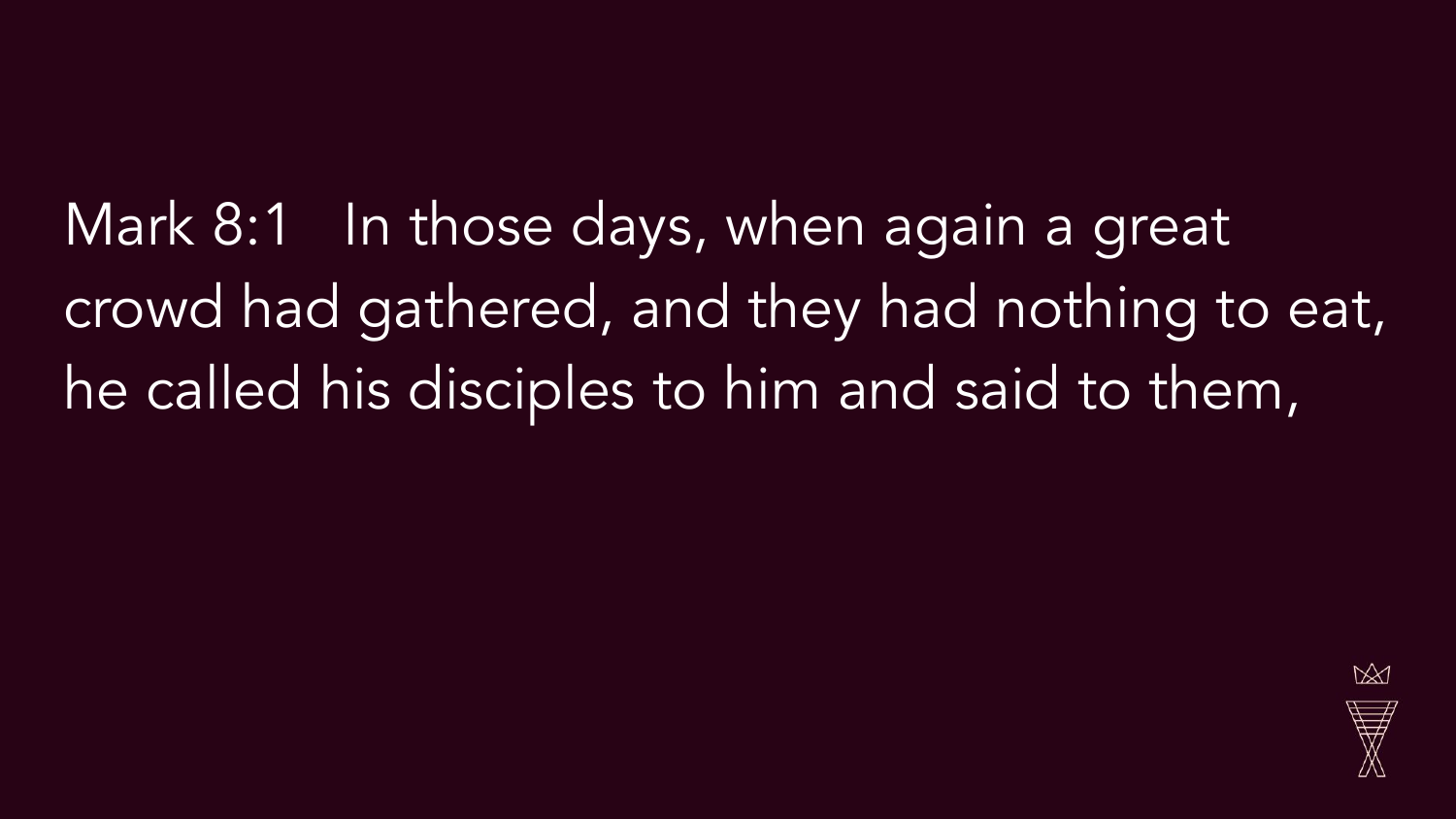Mark 8:1 In those days, when again a great crowd had gathered, and they had nothing to eat, he called his disciples to him and said to them,

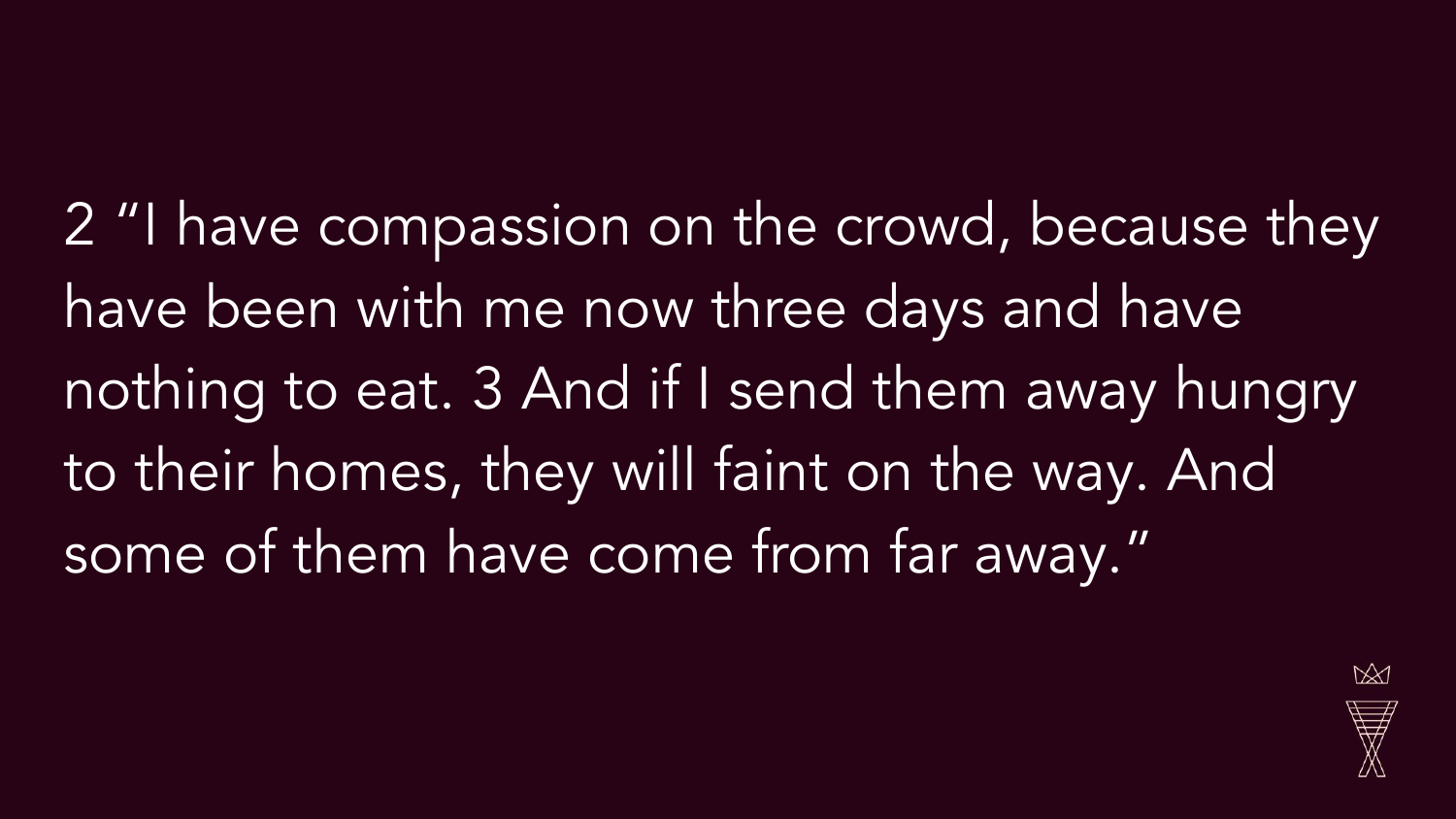2 "I have compassion on the crowd, because they

have been with me now three days and have nothing to eat. 3 And if I send them away hungry to their homes, they will faint on the way. And some of them have come from far away."

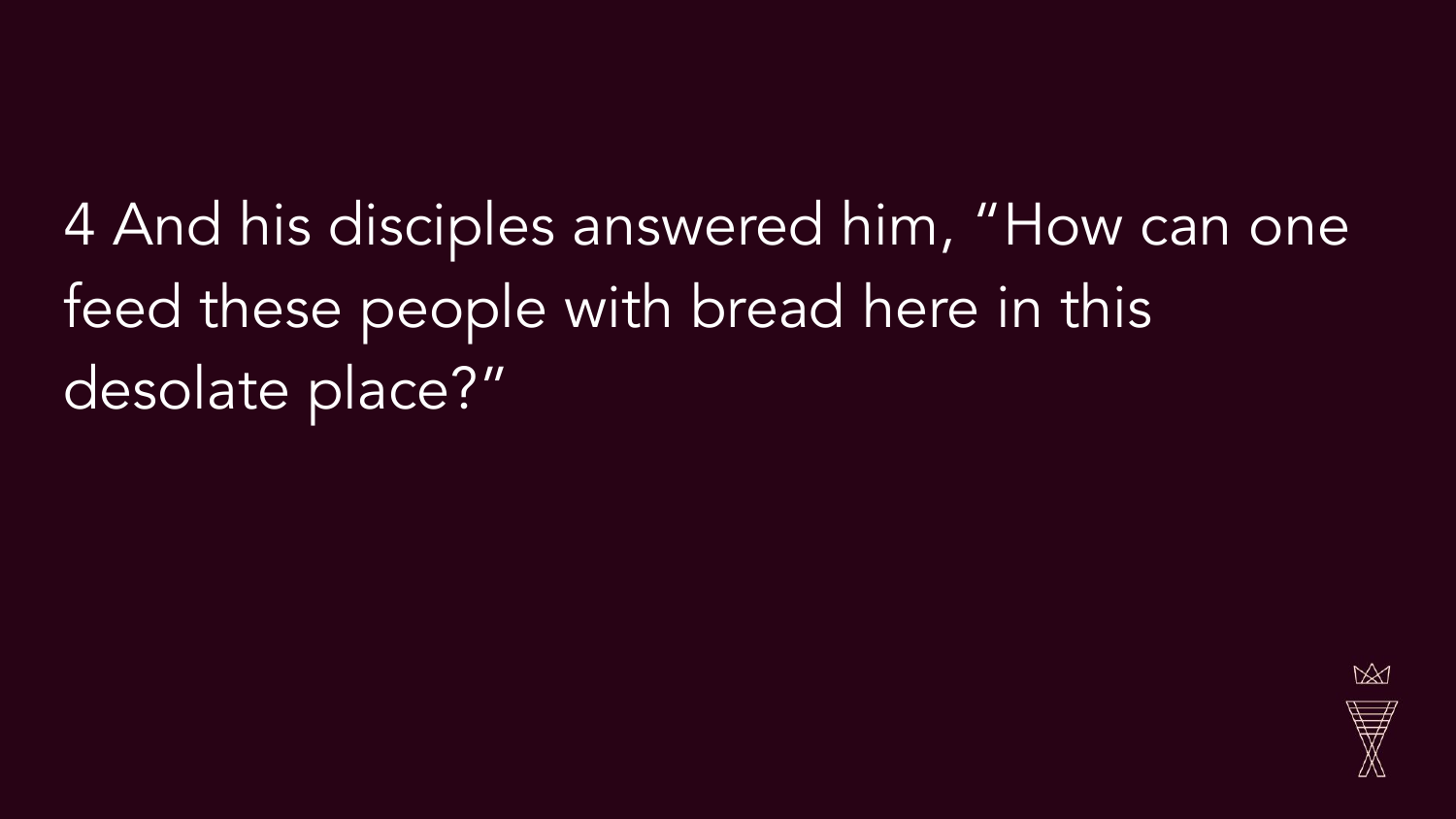4 And his disciples answered him, "How can one feed these people with bread here in this desolate place?"

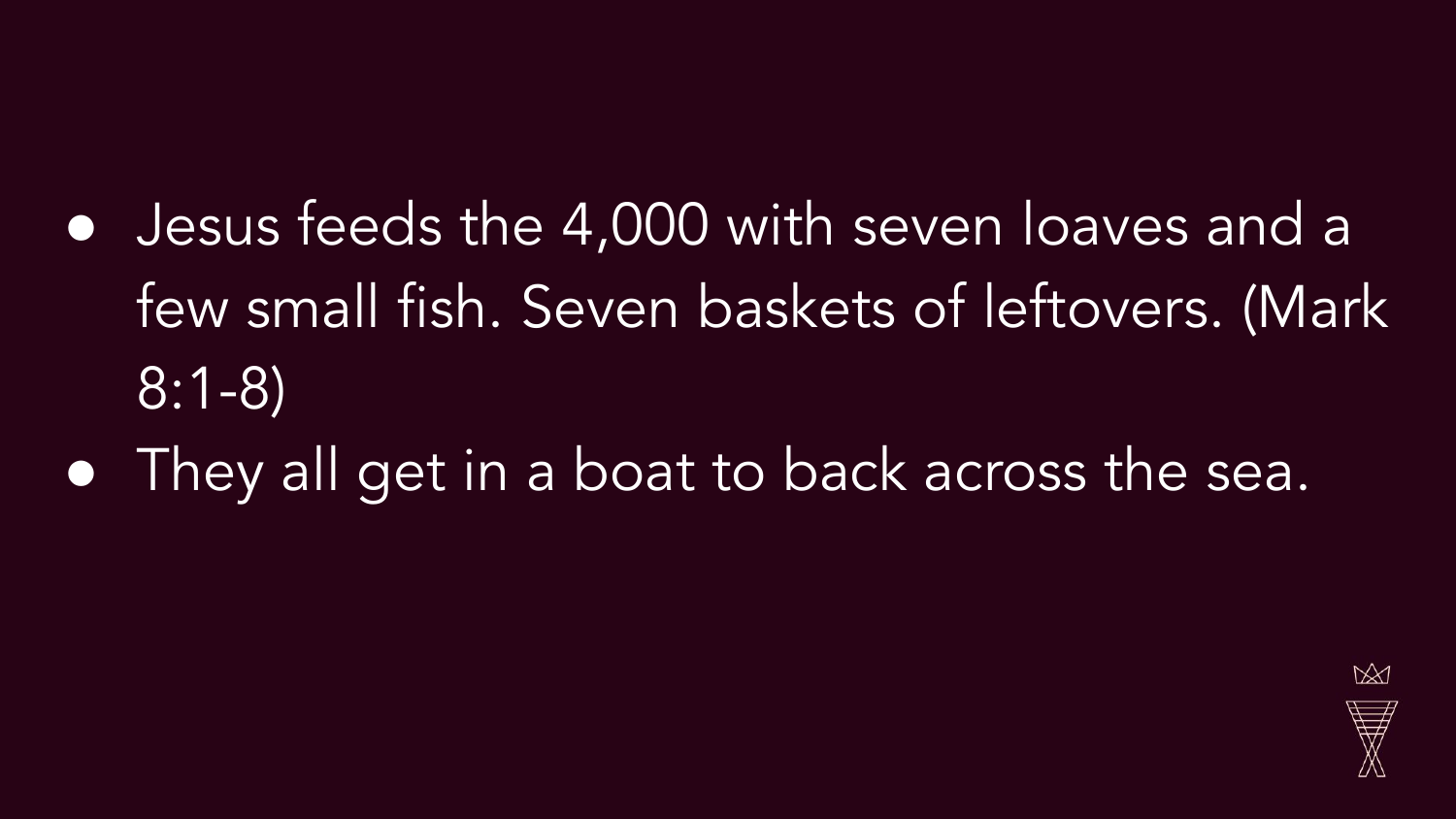- Jesus feeds the 4,000 with seven loaves and a few small fish. Seven baskets of leftovers. (Mark 8:1-8)
- They all get in a boat to back across the sea.

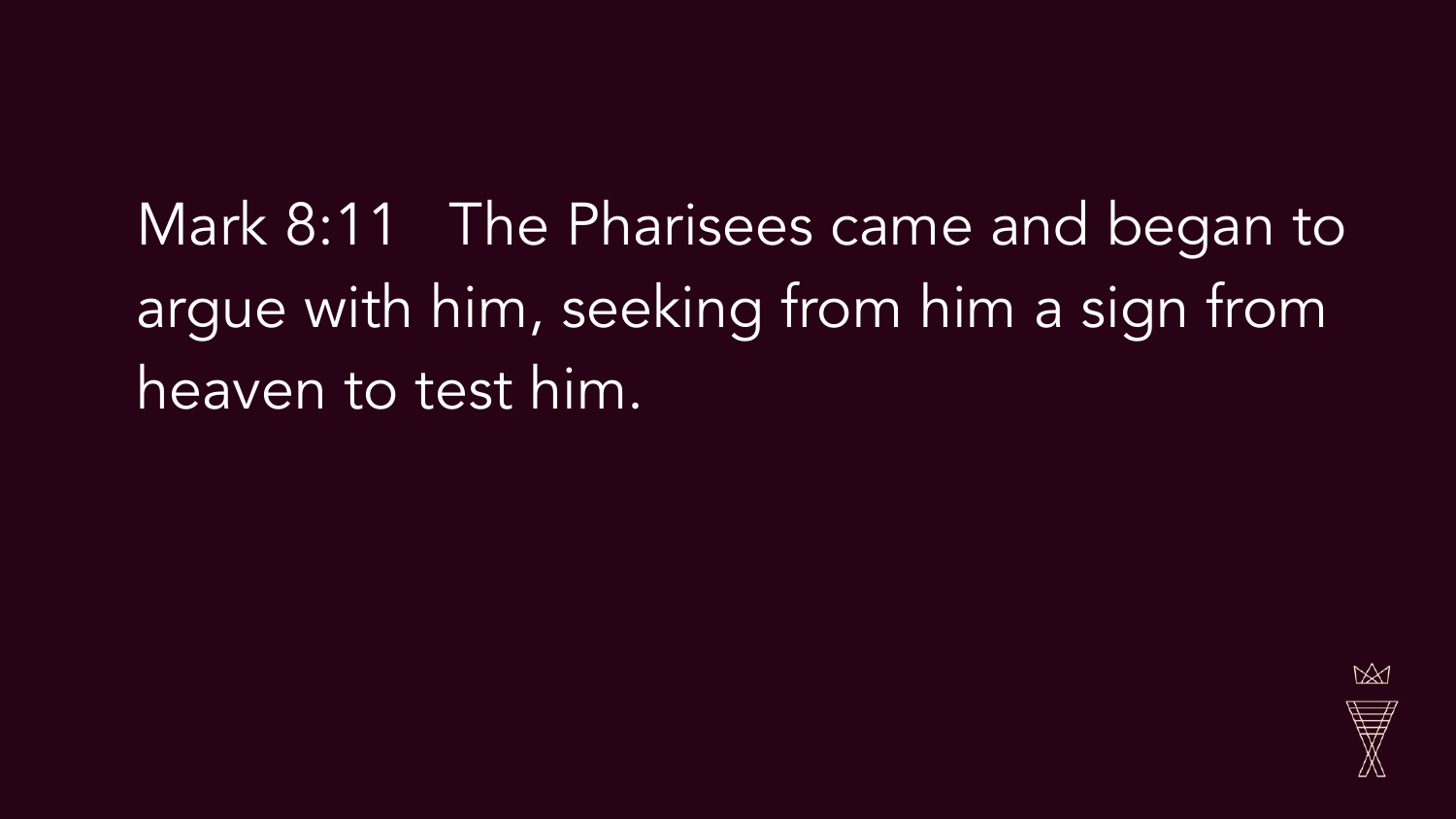Mark 8:11 The Pharisees came and began to argue with him, seeking from him a sign from heaven to test him.

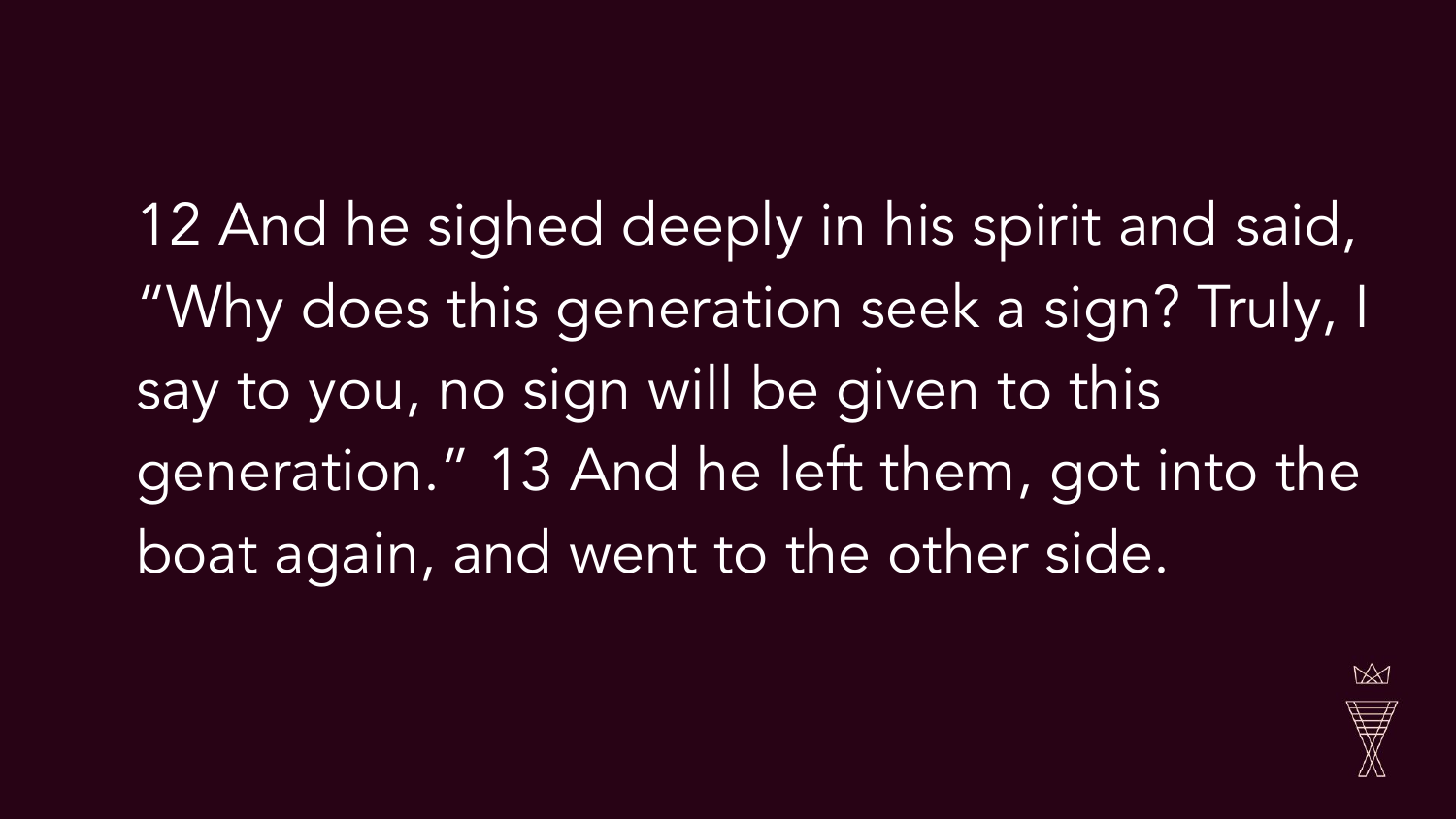12 And he sighed deeply in his spirit and said, "Why does this generation seek a sign? Truly, I say to you, no sign will be given to this generation." 13 And he left them, got into the boat again, and went to the other side.

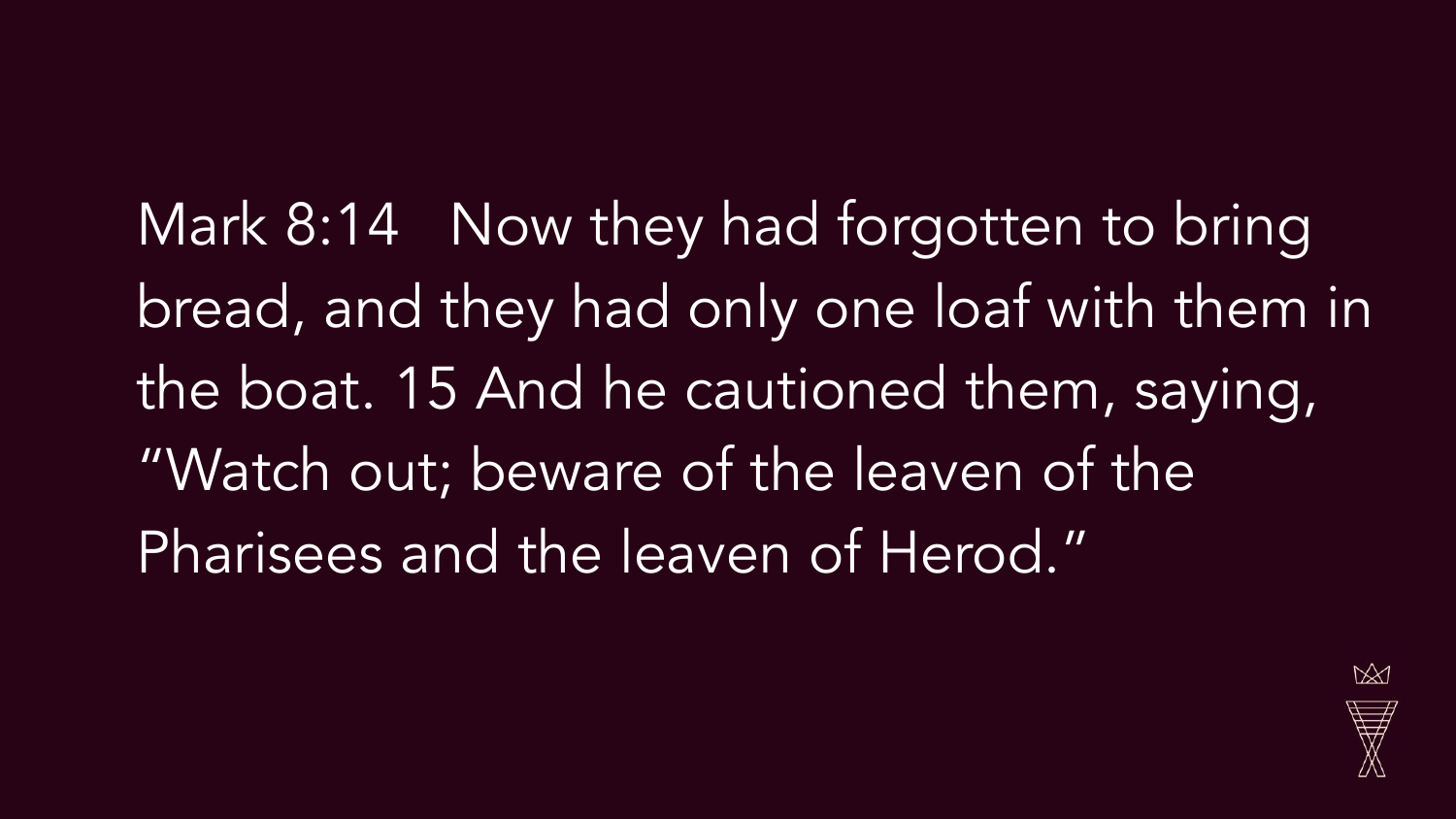Mark 8:14 Now they had forgotten to bring bread, and they had only one loaf with them in the boat. 15 And he cautioned them, saying, "Watch out; beware of the leaven of the

Pharisees and the leaven of Herod."

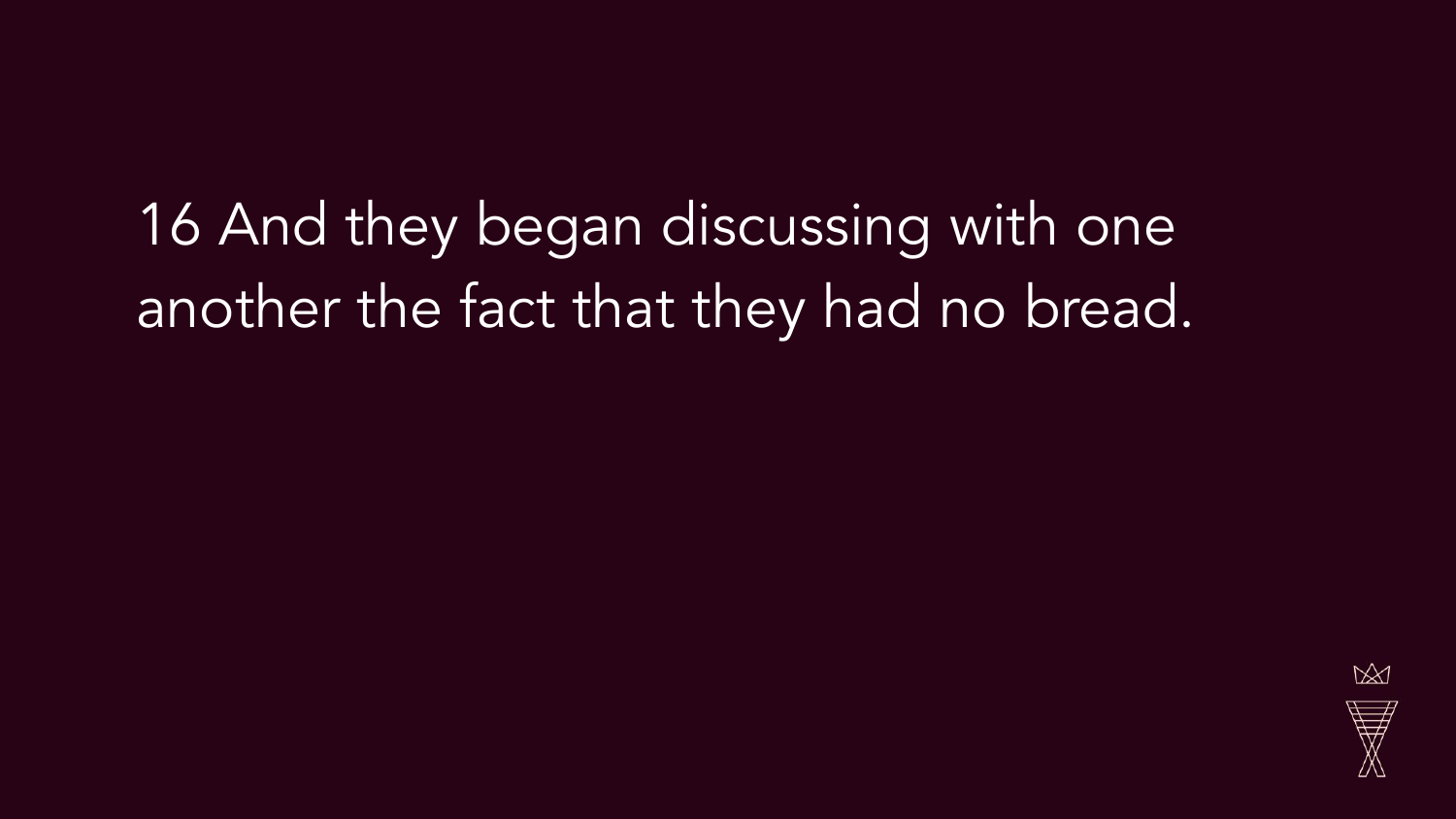16 And they began discussing with one another the fact that they had no bread.

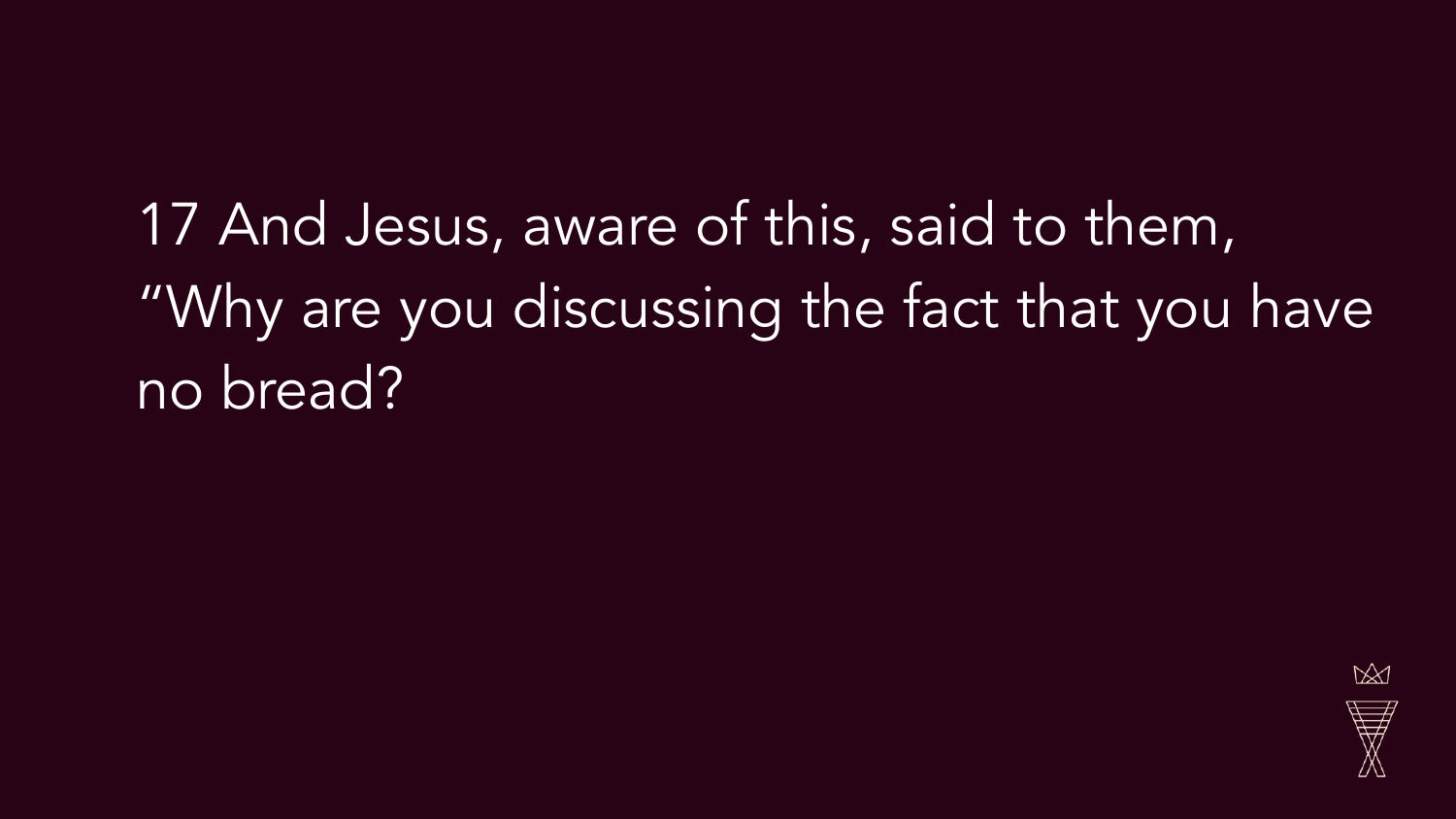17 And Jesus, aware of this, said to them, "Why are you discussing the fact that you have no bread?

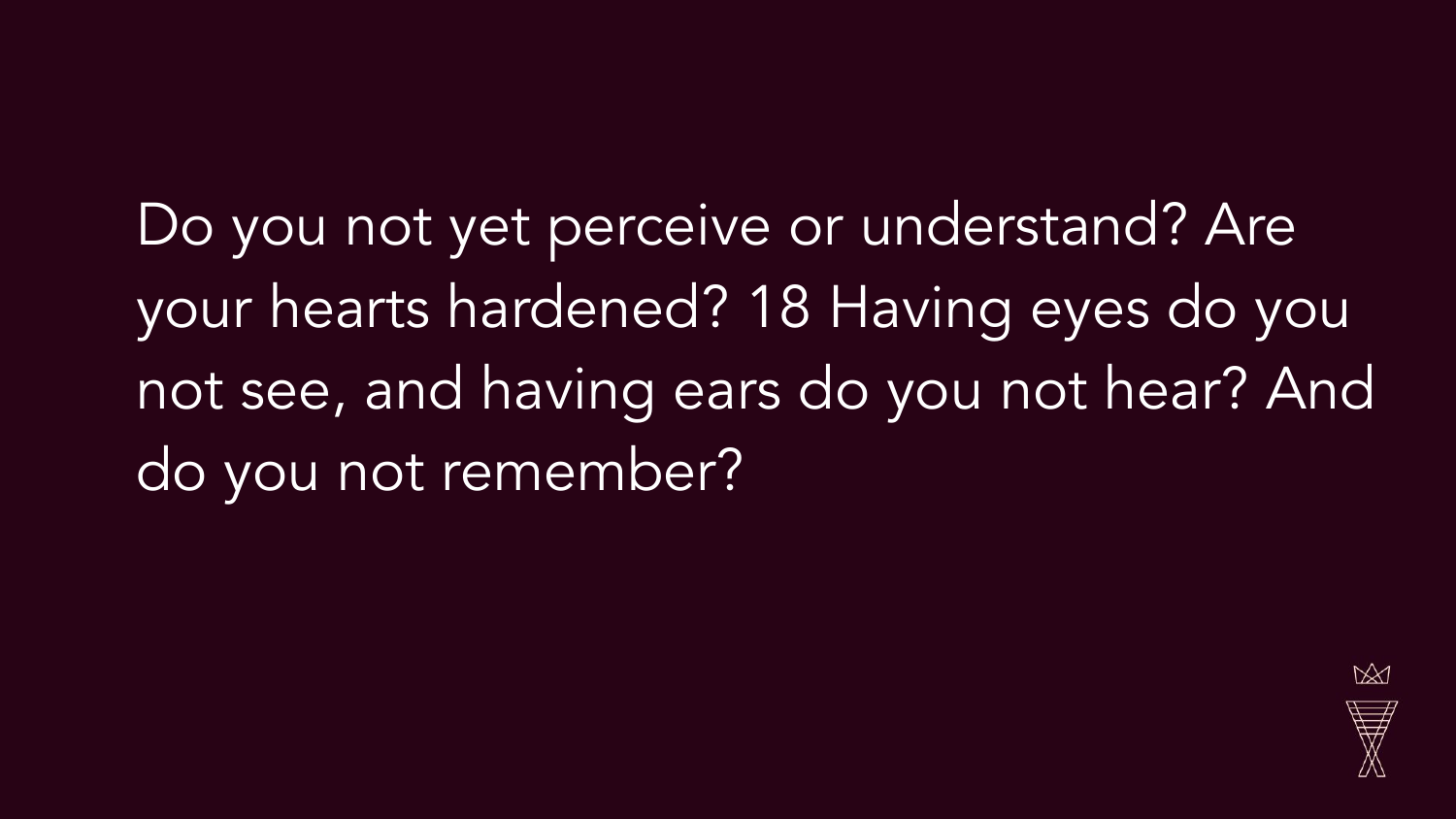Do you not yet perceive or understand? Are your hearts hardened? 18 Having eyes do you not see, and having ears do you not hear? And do you not remember?

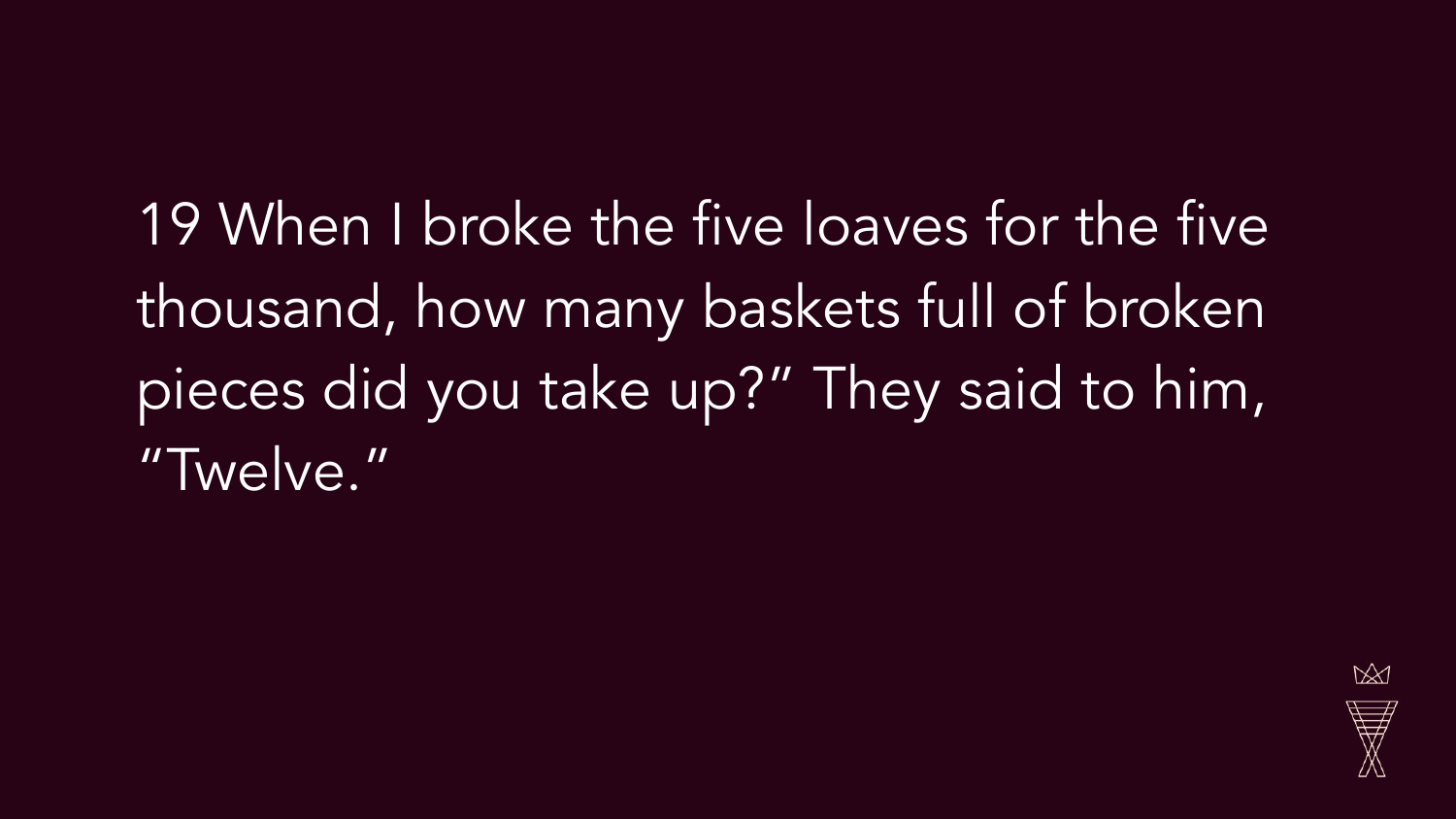19 When I broke the five loaves for the five thousand, how many baskets full of broken pieces did you take up?" They said to him, "Twelve."

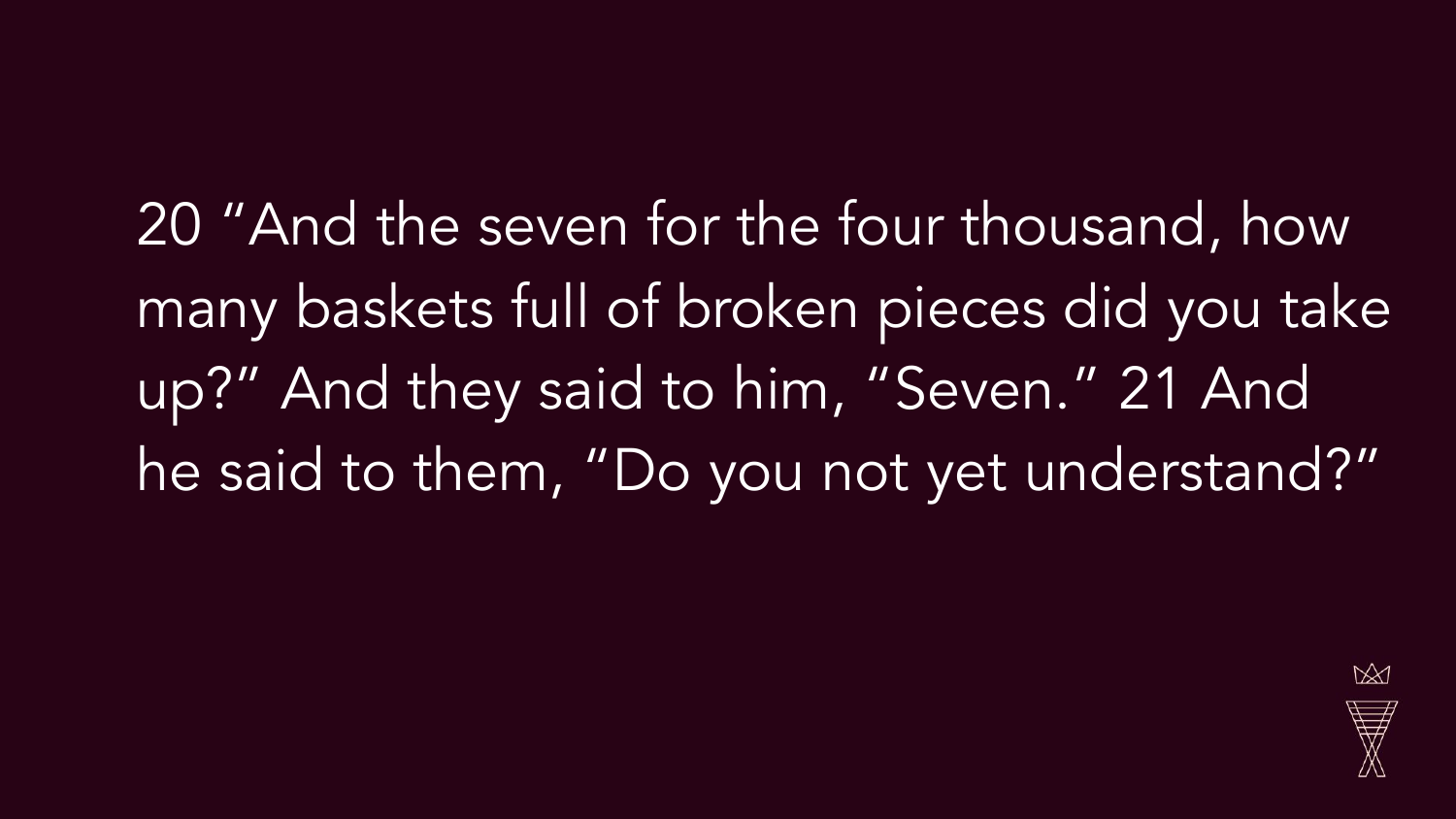20 "And the seven for the four thousand, how many baskets full of broken pieces did you take up?" And they said to him, "Seven." 21 And he said to them, "Do you not yet understand?"

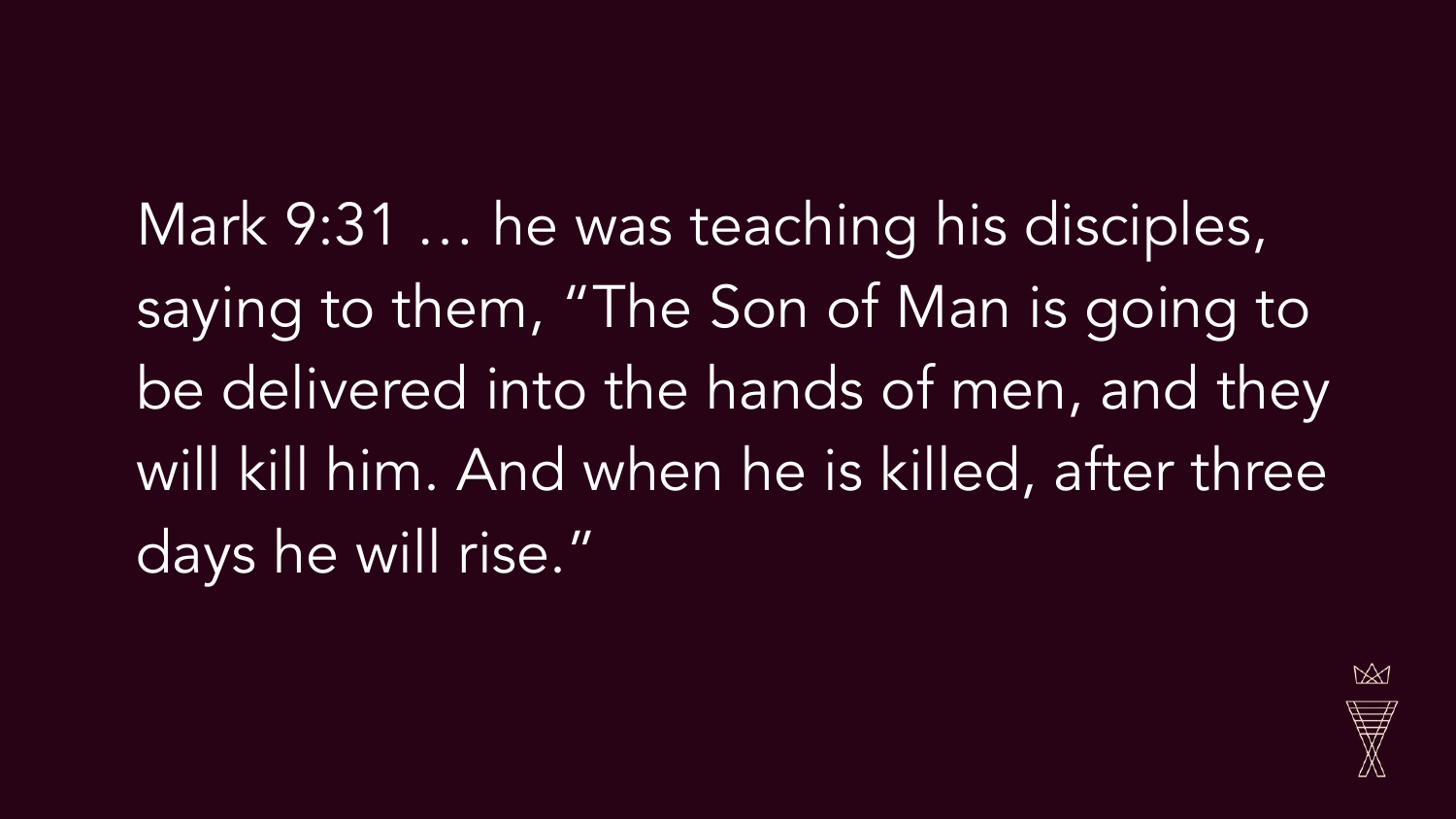Mark 9:31 … he was teaching his disciples, saying to them, "The Son of Man is going to be delivered into the hands of men, and they will kill him. And when he is killed, after three days he will rise."

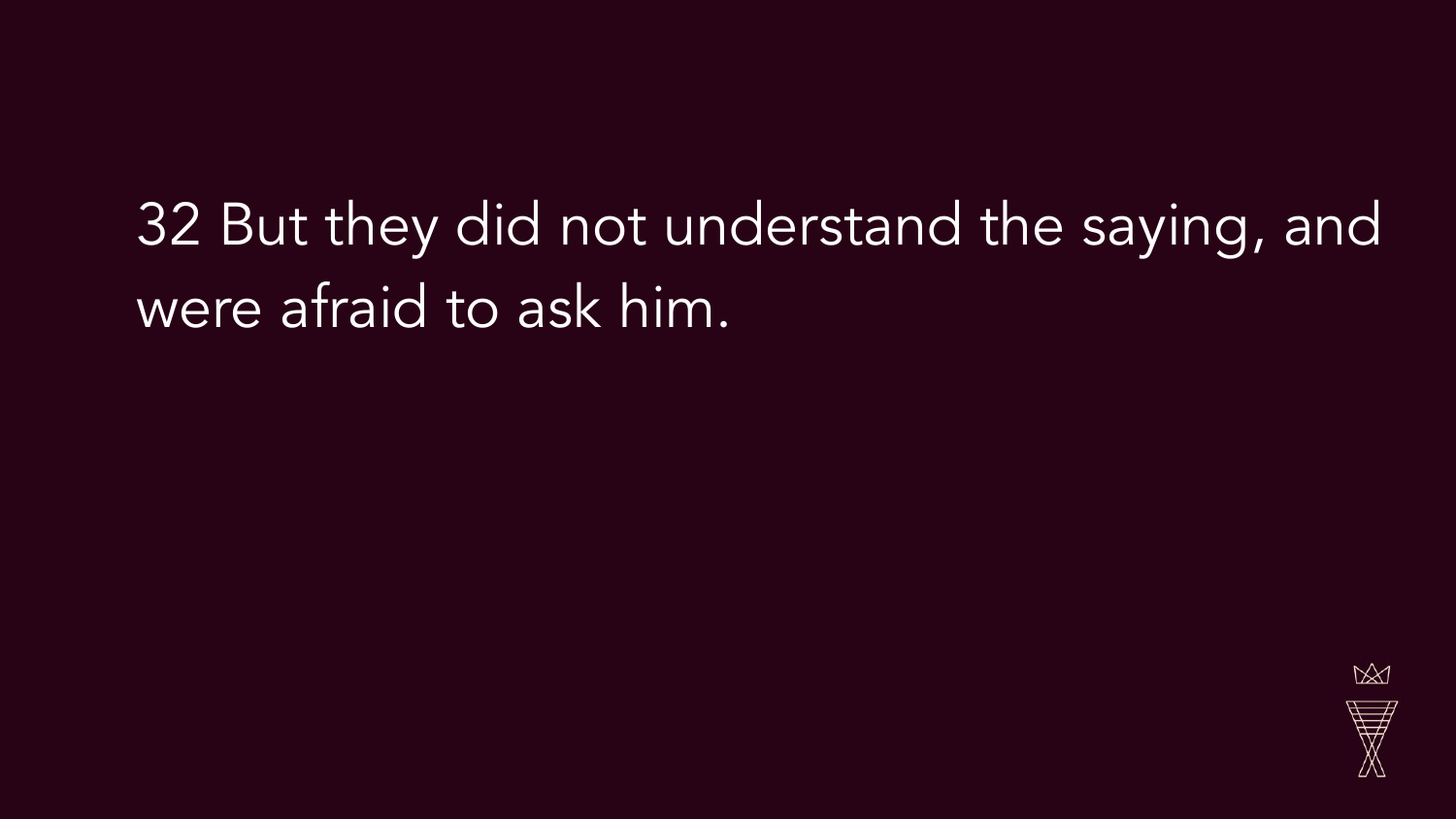32 But they did not understand the saying, and were afraid to ask him.

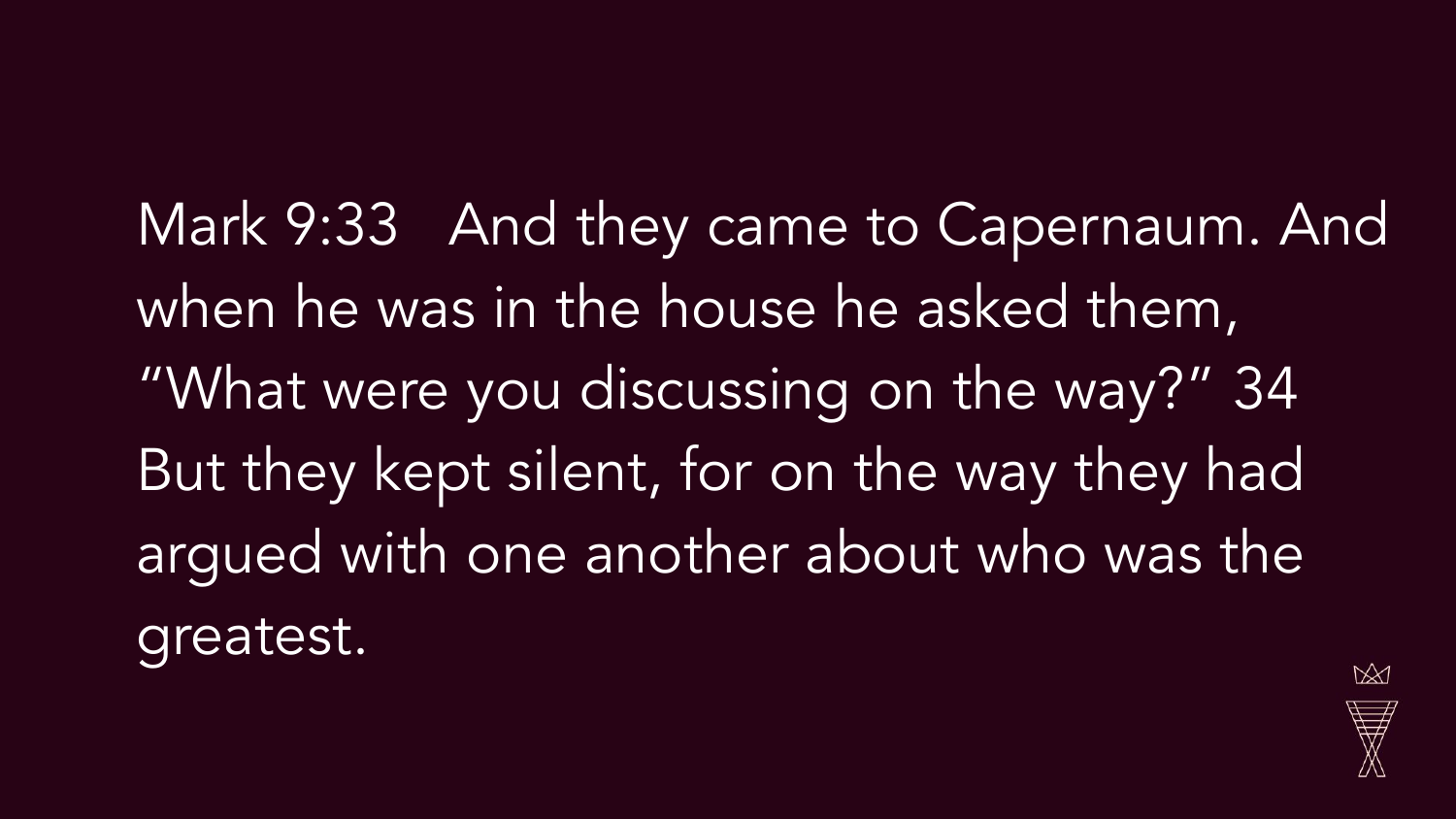Mark 9:33 And they came to Capernaum. And when he was in the house he asked them, "What were you discussing on the way?" 34 But they kept silent, for on the way they had argued with one another about who was the greatest.

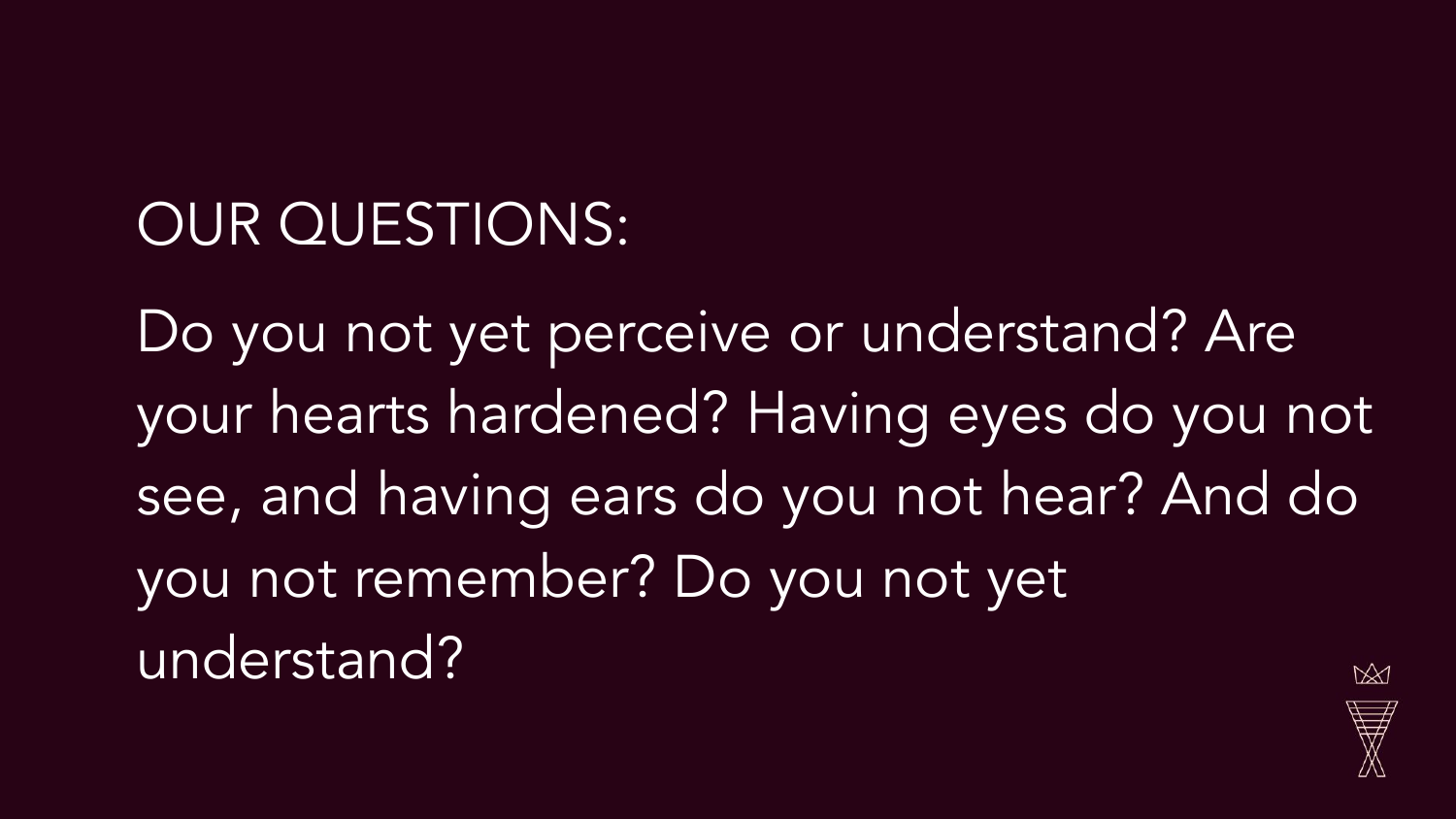## OUR QUESTIONS:

Do you not yet perceive or understand? Are your hearts hardened? Having eyes do you not see, and having ears do you not hear? And do you not remember? Do you not yet understand? $M$